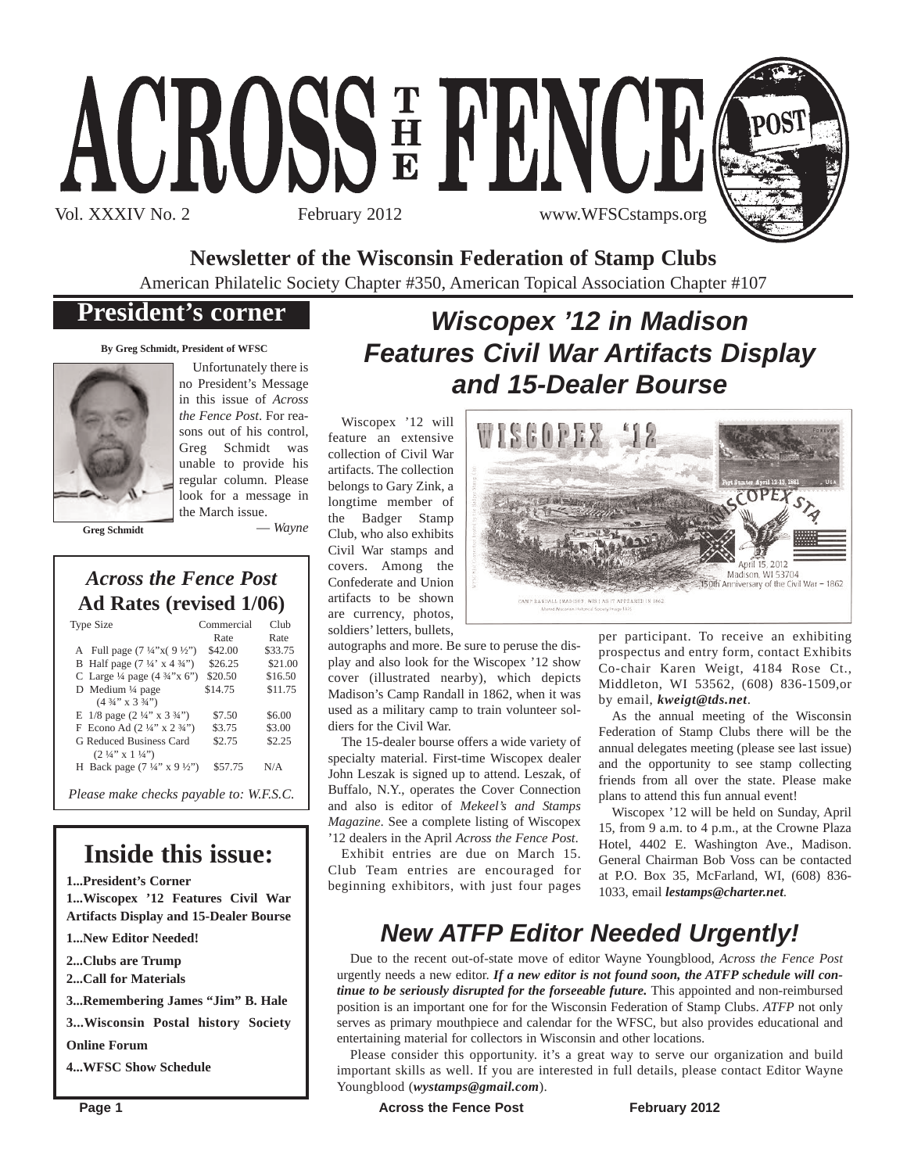# ACROSSE FENOD Vol. XXXIV No. 2 February 2012 www.WFSCstamps.org



**Newsletter of the Wisconsin Federation of Stamp Clubs**

American Philatelic Society Chapter #350, American Topical Association Chapter #107

### **President's corner**

**By Greg Schmidt, President of WFSC**



Unfortunately there is no President's Message in this issue of *Across the Fence Post*. For reasons out of his control, Greg Schmidt was unable to provide his regular column. Please look for a message in the March issue.

**Greg Schmidt**

— *Wayne*

### *Across the Fence Post* **Ad Rates (revised 1/06)**

| <b>Type Size</b>                                        | Commercial | Club    |
|---------------------------------------------------------|------------|---------|
|                                                         | Rate       | Rate    |
| A Full page $(7\frac{1}{4}x)(9\frac{1}{2}y)$            | \$42.00    | \$33.75 |
| B Half page $(7\frac{1}{4} \times 4\frac{3}{4})$        | \$26.25    | \$21.00 |
| C Large $\frac{1}{4}$ page $(4\frac{3}{4}x^{10}x^{10})$ | \$20.50    | \$16.50 |
| D Medium 1/4 page                                       | \$14.75    | \$11.75 |
| $(4\frac{3}{4}$ " x 3 $\frac{3}{4}$ ")                  |            |         |
| E $1/8$ page $(2\frac{1}{4}$ " x $3\frac{3}{4}$ ")      | \$7.50     | \$6.00  |
| F Econo Ad $(2\frac{1}{4}$ " x $2\frac{3}{4}$ ")        | \$3.75     | \$3.00  |
| G Reduced Business Card                                 | \$2.75     | \$2.25  |
| $(2 \frac{1}{4}$ " x 1 $\frac{1}{4}$ ")                 |            |         |
| H Back page $(7\frac{1}{4}$ " x 9 $\frac{1}{2}$ ")      | \$57.75    | N/A     |
| Please make checks payable to: W.F.S.C.                 |            |         |

# **Inside this issue:**

**1...President's Corner**

**1...Wiscopex '12 Features Civil War Artifacts Display and 15-Dealer Bourse**

- **1...New Editor Needed!**
- **2...Clubs are Trump**
- **2...Call for Materials**

**3...Remembering James "Jim" B. Hale**

**3...Wisconsin Postal history Society Online Forum**

**4...WFSC Show Schedule**

# *Wiscopex '12 in Madison Features Civil War Artifacts Display and 15-Dealer Bourse*

WISGOPEX 42

Wiscopex '12 will feature an extensive collection of Civil War artifacts. The collection belongs to Gary Zink, a longtime member of the Badger Stamp Club, who also exhibits Civil War stamps and covers. Among the Confederate and Union artifacts to be shown are currency, photos, soldiers' letters, bullets,

CAMP RANDALL (MADISON, WIS ) AS IT APPEARED IN 1862 autographs and more. Be sure to peruse the dis-

play and also look for the Wiscopex '12 show cover (illustrated nearby), which depicts Madison's Camp Randall in 1862, when it was used as a military camp to train volunteer soldiers for the Civil War.

The 15-dealer bourse offers a wide variety of specialty material. First-time Wiscopex dealer John Leszak is signed up to attend. Leszak, of Buffalo, N.Y., operates the Cover Connection and also is editor of *Mekeel's and Stamps Magazine*. See a complete listing of Wiscopex '12 dealers in the April *Across the Fence Post*.

Exhibit entries are due on March 15. Club Team entries are encouraged for beginning exhibitors, with just four pages per participant. To receive an exhibiting prospectus and entry form, contact Exhibits Co-chair Karen Weigt, 4184 Rose Ct., Middleton, WI 53562, (608) 836-1509,or by email, *kweigt@tds.net*.

April Madison, WI 53704 150th Anniversary of the Civil War - 1862

As the annual meeting of the Wisconsin Federation of Stamp Clubs there will be the annual delegates meeting (please see last issue) and the opportunity to see stamp collecting friends from all over the state. Please make plans to attend this fun annual event!

Wiscopex '12 will be held on Sunday, April 15, from 9 a.m. to 4 p.m., at the Crowne Plaza Hotel, 4402 E. Washington Ave., Madison. General Chairman Bob Voss can be contacted at P.O. Box 35, McFarland, WI, (608) 836- 1033, email *lestamps@charter.net*.

# *New ATFP Editor Needed Urgently!*

Due to the recent out-of-state move of editor Wayne Youngblood, *Across the Fence Post* urgently needs a new editor. *If a new editor is not found soon, the ATFP schedule will continue to be seriously disrupted for the forseeable future*. This appointed and non-reimbursed position is an important one for for the Wisconsin Federation of Stamp Clubs. *ATFP* not only serves as primary mouthpiece and calendar for the WFSC, but also provides educational and entertaining material for collectors in Wisconsin and other locations.

Please consider this opportunity. it's a great way to serve our organization and build important skills as well. If you are interested in full details, please contact Editor Wayne Youngblood (*wystamps@gmail.com*).

**Page 1 Conserverse Exercise Servers Across the Fence Post February 2012**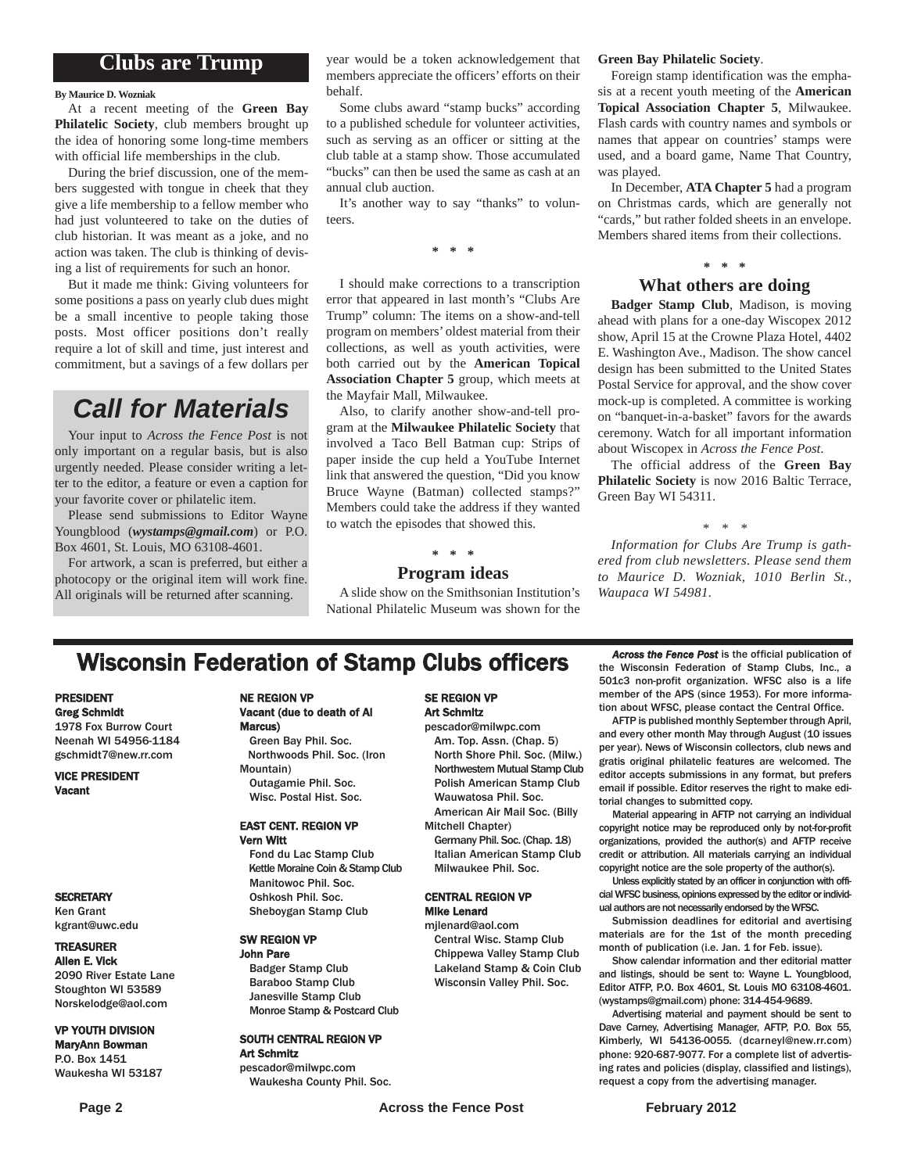### **Clubs are Trump**

#### **By Maurice D. Wozniak**

At a recent meeting of the **Green Bay Philatelic Society**, club members brought up the idea of honoring some long-time members with official life memberships in the club.

During the brief discussion, one of the members suggested with tongue in cheek that they give a life membership to a fellow member who had just volunteered to take on the duties of club historian. It was meant as a joke, and no action was taken. The club is thinking of devising a list of requirements for such an honor.

But it made me think: Giving volunteers for some positions a pass on yearly club dues might be a small incentive to people taking those posts. Most officer positions don't really require a lot of skill and time, just interest and commitment, but a savings of a few dollars per

## *Call for Materials*

Your input to *Across the Fence Post* is not only important on a regular basis, but is also urgently needed. Please consider writing a letter to the editor, a feature or even a caption for your favorite cover or philatelic item.

Please send submissions to Editor Wayne Youngblood (*wystamps@gmail.com*) or P.O. Box 4601, St. Louis, MO 63108-4601.

For artwork, a scan is preferred, but either a photocopy or the original item will work fine. All originals will be returned after scanning.

year would be a token acknowledgement that members appreciate the officers' efforts on their behalf.

Some clubs award "stamp bucks" according to a published schedule for volunteer activities, such as serving as an officer or sitting at the club table at a stamp show. Those accumulated "bucks" can then be used the same as cash at an annual club auction.

It's another way to say "thanks" to volunteers.

**\* \* \***

I should make corrections to a transcription error that appeared in last month's "Clubs Are Trump" column: The items on a show-and-tell program on members' oldest material from their collections, as well as youth activities, were both carried out by the **American Topical Association Chapter 5** group, which meets at the Mayfair Mall, Milwaukee.

Also, to clarify another show-and-tell program at the **Milwaukee Philatelic Society** that involved a Taco Bell Batman cup: Strips of paper inside the cup held a YouTube Internet link that answered the question, "Did you know Bruce Wayne (Batman) collected stamps?" Members could take the address if they wanted to watch the episodes that showed this.

#### **\* \* \***

#### **Program ideas**

A slide show on the Smithsonian Institution's National Philatelic Museum was shown for the

#### **Green Bay Philatelic Society**.

Foreign stamp identification was the emphasis at a recent youth meeting of the **American Topical Association Chapter 5**, Milwaukee. Flash cards with country names and symbols or names that appear on countries' stamps were used, and a board game, Name That Country, was played.

In December, **ATA Chapter 5** had a program on Christmas cards, which are generally not "cards," but rather folded sheets in an envelope. Members shared items from their collections.

#### **\* \* \* What others are doing**

**Badger Stamp Club**, Madison, is moving ahead with plans for a one-day Wiscopex 2012 show, April 15 at the Crowne Plaza Hotel, 4402 E. Washington Ave., Madison. The show cancel design has been submitted to the United States Postal Service for approval, and the show cover mock-up is completed. A committee is working on "banquet-in-a-basket" favors for the awards ceremony. Watch for all important information about Wiscopex in *Across the Fence Post*.

The official address of the **Green Bay Philatelic Society** is now 2016 Baltic Terrace, Green Bay WI 54311.

*\* \* \**

*Information for Clubs Are Trump is gathered from club newsletters. Please send them to Maurice D. Wozniak, 1010 Berlin St., Waupaca WI 54981.*

## **Wisconsin Federation of Stamp Clubs officers** *Across the Fence Post* is the official publication of **Stamp** Clubs, Inc., a

#### PRESIDENT Greg Schmidt

1978 Fox Burrow Court Neenah WI 54956-1184 gschmidt7@new.rr.com

VICE PRESIDENT Vacant

#### **SECRETARY**

Ken Grant kgrant@uwc.edu

#### TREASURER

Allen E. Vick 2090 River Estate Lane Stoughton WI 53589 Norskelodge@aol.com

#### VP YOUTH DIVISION MaryAnn Bowman

P.O. Box 1451 Waukesha WI 53187

#### NE REGION VP Vacant (due to death of Al Marcus)

Green Bay Phil. Soc. Northwoods Phil. Soc. (Iron Mountain) Outagamie Phil. Soc.

#### Wisc. Postal Hist. Soc. EAST CENT. REGION VP Vern Witt

Fond du Lac Stamp Club Kettle Moraine Coin & Stamp Club Manitowoc Phil. Soc. Oshkosh Phil. Soc. Sheboygan Stamp Club

#### SW REGION VP John Pare

Badger Stamp Club Baraboo Stamp Club Janesville Stamp Club Monroe Stamp & Postcard Club

#### SOUTH CENTRAL REGION VP Art Schmitz

pescador@milwpc.com Waukesha County Phil. Soc.

#### SE REGION VP Art Schmitz

pescador@milwpc.com Am. Top. Assn. (Chap. 5) North Shore Phil. Soc. (Milw.) Northwestern Mutual Stamp Club Polish American Stamp Club Wauwatosa Phil. Soc. American Air Mail Soc. (Billy

Mitchell Chapter) Germany Phil. Soc. (Chap. 18)

Italian American Stamp Club Milwaukee Phil. Soc.

#### CENTRAL REGION VP Mike Lenard

mjlenard@aol.com Central Wisc. Stamp Club Chippewa Valley Stamp Club Lakeland Stamp & Coin Club Wisconsin Valley Phil. Soc.

the Wisconsin Federation of Stamp Clubs, Inc., a 501c3 non-profit organization. WFSC also is a life member of the APS (since 1953). For more information about WFSC, please contact the Central Office.

AFTP is published monthly September through April, and every other month May through August (10 issues per year). News of Wisconsin collectors, club news and gratis original philatelic features are welcomed. The editor accepts submissions in any format, but prefers email if possible. Editor reserves the right to make editorial changes to submitted copy.

Material appearing in AFTP not carrying an individual copyright notice may be reproduced only by not-for-profit organizations, provided the author(s) and AFTP receive credit or attribution. All materials carrying an individual copyright notice are the sole property of the author(s).

Unless explicitly stated by an officer in conjunction with official WFSC business, opinions expressed by the editor or individual authors are not necessarily endorsed by the WFSC.

Submission deadlines for editorial and avertising materials are for the 1st of the month preceding month of publication (i.e. Jan. 1 for Feb. issue).

Show calendar information and ther editorial matter and listings, should be sent to: Wayne L. Youngblood, Editor ATFP, P.O. Box 4601, St. Louis MO 63108-4601. (wystamps@gmail.com) phone: 314-454-9689.

Advertising material and payment should be sent to Dave Carney, Advertising Manager, AFTP, P.O. Box 55, Kimberly, WI 54136-0055. (dcarneyl@new.rr.com) phone: 920-687-9077. For a complete list of advertising rates and policies (display, classified and listings), request a copy from the advertising manager.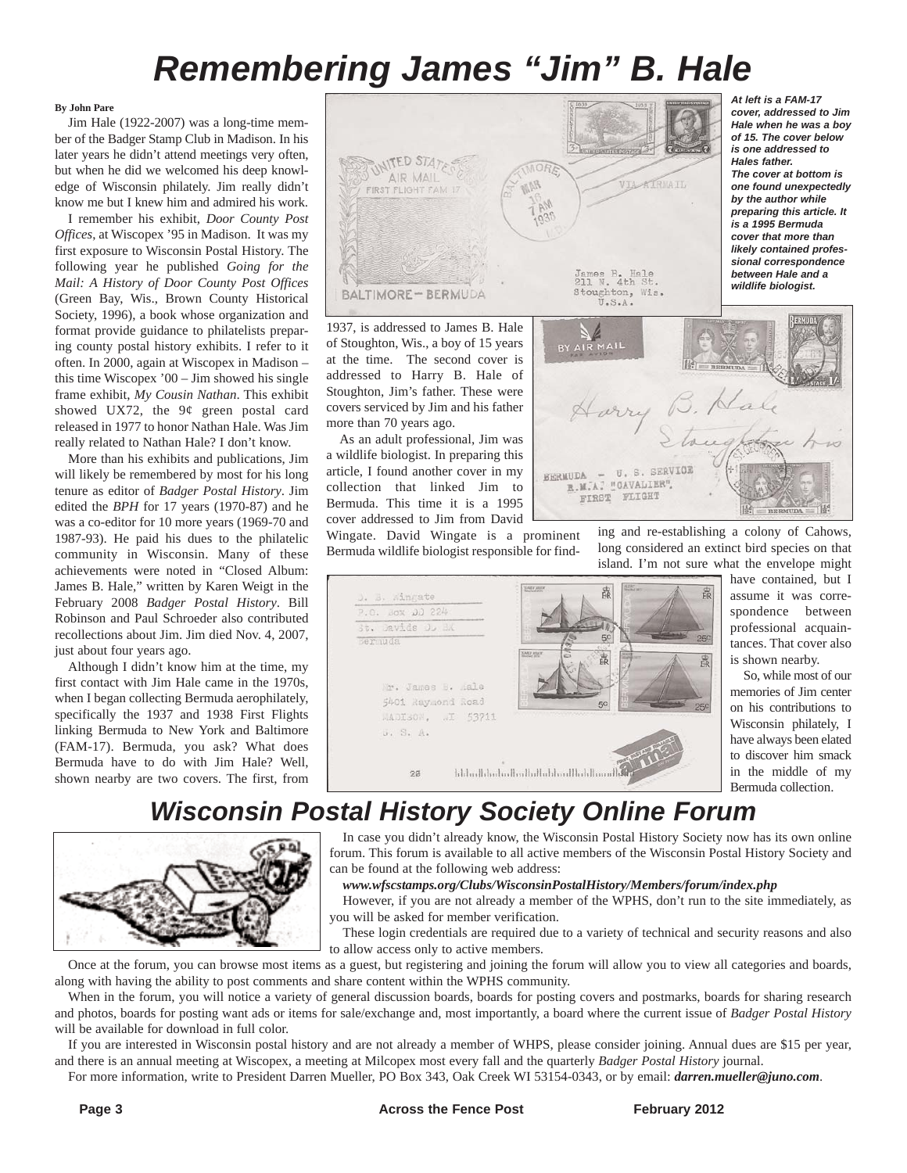# *Remembering James "Jim" B. Hale*

#### **By John Pare**

Jim Hale (1922-2007) was a long-time member of the Badger Stamp Club in Madison. In his later years he didn't attend meetings very often, but when he did we welcomed his deep knowledge of Wisconsin philately. Jim really didn't know me but I knew him and admired his work.

I remember his exhibit, *Door County Post Offices*, at Wiscopex '95 in Madison. It was my first exposure to Wisconsin Postal History. The following year he published *Going for the Mail: A History of Door County Post Offices* (Green Bay, Wis., Brown County Historical Society, 1996), a book whose organization and format provide guidance to philatelists preparing county postal history exhibits. I refer to it often. In 2000, again at Wiscopex in Madison – this time Wiscopex '00 – Jim showed his single frame exhibit, *My Cousin Nathan*. This exhibit showed UX72, the 9¢ green postal card released in 1977 to honor Nathan Hale. Was Jim really related to Nathan Hale? I don't know.

More than his exhibits and publications, Jim will likely be remembered by most for his long tenure as editor of *Badger Postal History*. Jim edited the *BPH* for 17 years (1970-87) and he was a co-editor for 10 more years (1969-70 and 1987-93). He paid his dues to the philatelic community in Wisconsin. Many of these achievements were noted in "Closed Album: James B. Hale," written by Karen Weigt in the February 2008 *Badger Postal History*. Bill Robinson and Paul Schroeder also contributed recollections about Jim. Jim died Nov. 4, 2007, just about four years ago.

Although I didn't know him at the time, my first contact with Jim Hale came in the 1970s, when I began collecting Bermuda aerophilately, specifically the 1937 and 1938 First Flights linking Bermuda to New York and Baltimore (FAM-17). Bermuda, you ask? What does Bermuda have to do with Jim Hale? Well, shown nearby are two covers. The first, from



1937, is addressed to James B. Hale of Stoughton, Wis., a boy of 15 years at the time. The second cover is addressed to Harry B. Hale of Stoughton, Jim's father. These were covers serviced by Jim and his father more than 70 years ago.

As an adult professional, Jim was a wildlife biologist. In preparing this article, I found another cover in my collection that linked Jim to Bermuda. This time it is a 1995 cover addressed to Jim from David

Wingate. David Wingate is a prominent Bermuda wildlife biologist responsible for find-



island. I'm not sure what the envelope might have contained, but I assume it was correspondence between professional acquaintances. That cover also

ing and re-establishing a colony of Cahows, long considered an extinct bird species on that

 $\frac{1}{2}$ 

B. Hale

is shown nearby. So, while most of our memories of Jim center on his contributions to Wisconsin philately, I have always been elated to discover him smack in the middle of my Bermuda collection.

# *Wisconsin Postal History Society Online Forum*

In case you didn't already know, the Wisconsin Postal History Society now has its own online forum. This forum is available to all active members of the Wisconsin Postal History Society and can be found at the following web address:

Harri

BERMUDA - U.S. SERVICE R.M.A. "CAVALIER" FIRST FLIGHT

*www.wfscstamps.org/Clubs/WisconsinPostalHistory/Members/forum/index.php*

However, if you are not already a member of the WPHS, don't run to the site immediately, as you will be asked for member verification.

These login credentials are required due to a variety of technical and security reasons and also to allow access only to active members.

Once at the forum, you can browse most items as a guest, but registering and joining the forum will allow you to view all categories and boards, along with having the ability to post comments and share content within the WPHS community.

When in the forum, you will notice a variety of general discussion boards, boards for posting covers and postmarks, boards for sharing research and photos, boards for posting want ads or items for sale/exchange and, most importantly, a board where the current issue of *Badger Postal History* will be available for download in full color.

If you are interested in Wisconsin postal history and are not already a member of WHPS, please consider joining. Annual dues are \$15 per year, and there is an annual meeting at Wiscopex, a meeting at Milcopex most every fall and the quarterly *Badger Postal History* journal.

For more information, write to President Darren Mueller, PO Box 343, Oak Creek WI 53154-0343, or by email: *darren.mueller@juno.com*.